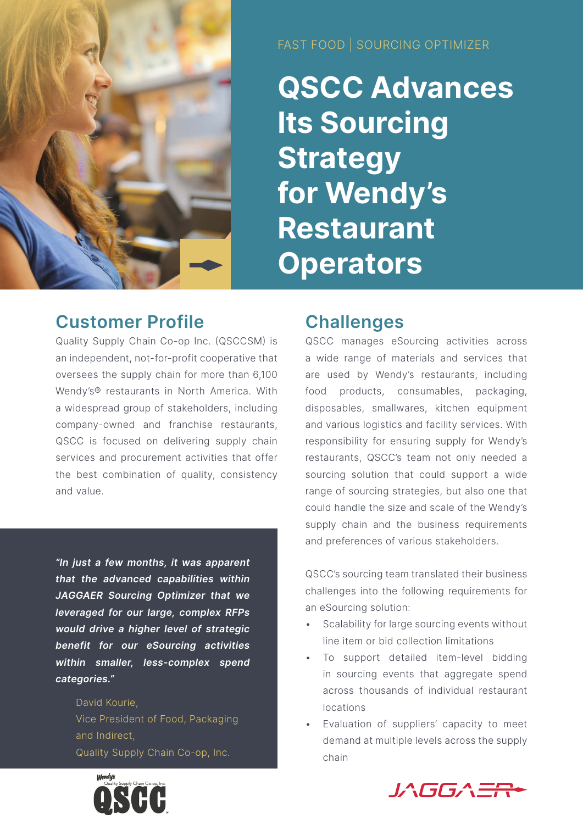

FAST FOOD | SOURCING OPTIMIZER

**QSCC Advances Its Sourcing Strategy for Wendy's Restaurant Operators**

## **Customer Profile**

Quality Supply Chain Co-op Inc. (QSCCSM) is an independent, not-for-profit cooperative that oversees the supply chain for more than 6,100 Wendy's® restaurants in North America. With a widespread group of stakeholders, including company-owned and franchise restaurants, QSCC is focused on delivering supply chain services and procurement activities that offer the best combination of quality, consistency and value.

*"In just a few months, it was apparent that the advanced capabilities within JAGGAER Sourcing Optimizer that we leveraged for our large, complex RFPs would drive a higher level of strategic benefit for our eSourcing activities within smaller, less-complex spend categories."*

> David Kourie, Vice President of Food, Packaging and Indirect, Quality Supply Chain Co-op, Inc.

# **Challenges**

QSCC manages eSourcing activities across a wide range of materials and services that are used by Wendy's restaurants, including food products, consumables, packaging, disposables, smallwares, kitchen equipment and various logistics and facility services. With responsibility for ensuring supply for Wendy's restaurants, QSCC's team not only needed a sourcing solution that could support a wide range of sourcing strategies, but also one that could handle the size and scale of the Wendy's supply chain and the business requirements and preferences of various stakeholders.

QSCC's sourcing team translated their business challenges into the following requirements for an eSourcing solution:

- Scalability for large sourcing events without line item or bid collection limitations
- To support detailed item-level bidding in sourcing events that aggregate spend across thousands of individual restaurant locations
- Evaluation of suppliers' capacity to meet demand at multiple levels across the supply chain



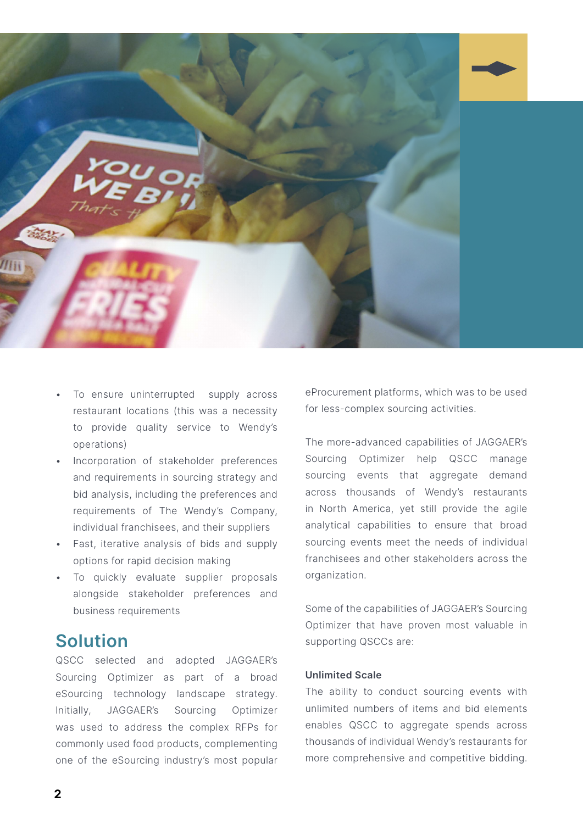

- To ensure uninterrupted supply across restaurant locations (this was a necessity to provide quality service to Wendy's operations)
- Incorporation of stakeholder preferences and requirements in sourcing strategy and bid analysis, including the preferences and requirements of The Wendy's Company, individual franchisees, and their suppliers
- Fast, iterative analysis of bids and supply options for rapid decision making
- To quickly evaluate supplier proposals alongside stakeholder preferences and business requirements

## **Solution**

QSCC selected and adopted JAGGAER's Sourcing Optimizer as part of a broad eSourcing technology landscape strategy. Initially, JAGGAER's Sourcing Optimizer was used to address the complex RFPs for commonly used food products, complementing one of the eSourcing industry's most popular eProcurement platforms, which was to be used for less-complex sourcing activities.

The more-advanced capabilities of JAGGAER's Sourcing Optimizer help QSCC manage sourcing events that aggregate demand across thousands of Wendy's restaurants in North America, yet still provide the agile analytical capabilities to ensure that broad sourcing events meet the needs of individual franchisees and other stakeholders across the organization.

Some of the capabilities of JAGGAER's Sourcing Optimizer that have proven most valuable in supporting QSCCs are:

#### **Unlimited Scale**

The ability to conduct sourcing events with unlimited numbers of items and bid elements enables QSCC to aggregate spends across thousands of individual Wendy's restaurants for more comprehensive and competitive bidding.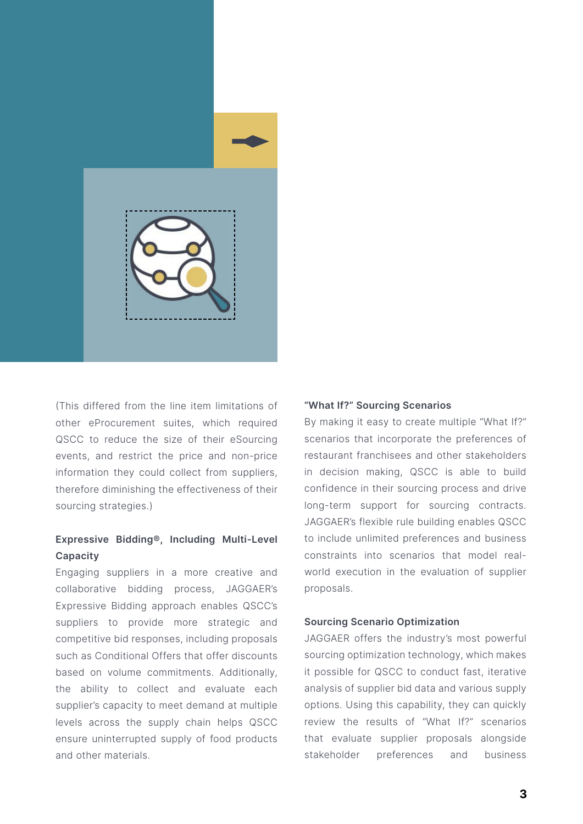

(This differed from the line item limitations of other eProcurement suites, which required QSCC to reduce the size of their eSourcing events, and restrict the price and non-price information they could collect from suppliers, therefore diminishing the effectiveness of their sourcing strategies.)

### **Expressive Bidding®, Including Multi-Level Capacity**

Engaging suppliers in a more creative and collaborative bidding process, JAGGAER's Expressive Bidding approach enables QSCC's suppliers to provide more strategic and competitive bid responses, including proposals such as Conditional Offers that offer discounts based on volume commitments. Additionally, the ability to collect and evaluate each supplier's capacity to meet demand at multiple levels across the supply chain helps QSCC ensure uninterrupted supply of food products and other materials.

#### **"What If?" Sourcing Scenarios**

By making it easy to create multiple "What If?" scenarios that incorporate the preferences of restaurant franchisees and other stakeholders in decision making, QSCC is able to build confidence in their sourcing process and drive long-term support for sourcing contracts. JAGGAER's flexible rule building enables QSCC to include unlimited preferences and business constraints into scenarios that model realworld execution in the evaluation of supplier proposals.

#### **Sourcing Scenario Optimization**

JAGGAER offers the industry's most powerful sourcing optimization technology, which makes it possible for QSCC to conduct fast, iterative analysis of supplier bid data and various supply options. Using this capability, they can quickly review the results of "What If?" scenarios that evaluate supplier proposals alongside stakeholder preferences and business